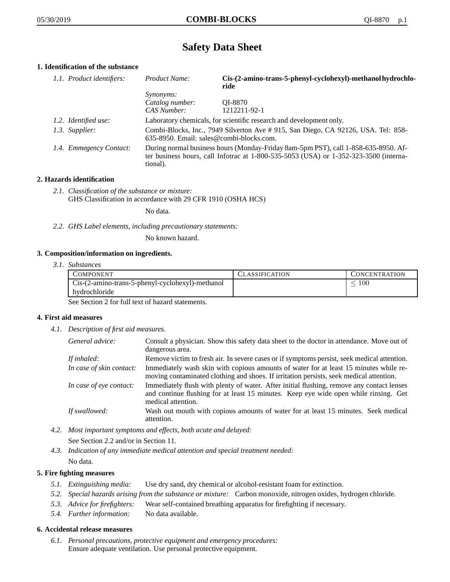# **Safety Data Sheet**

# **1. Identification of the substance**

| 1.1. Product identifiers: | Product Name:                                                                                                                                                                           | Cis-(2-amino-trans-5-phenyl-cyclohexyl)-methanolhydrochlo-<br>ride  |
|---------------------------|-----------------------------------------------------------------------------------------------------------------------------------------------------------------------------------------|---------------------------------------------------------------------|
|                           | <i>Synonyms:</i>                                                                                                                                                                        |                                                                     |
|                           | Catalog number:                                                                                                                                                                         | OI-8870                                                             |
|                           | CAS Number:                                                                                                                                                                             | 1212211-92-1                                                        |
| 1.2. Identified use:      |                                                                                                                                                                                         | Laboratory chemicals, for scientific research and development only. |
| 1.3. Supplier:            | Combi-Blocks, Inc., 7949 Silverton Ave # 915, San Diego, CA 92126, USA. Tel: 858-<br>$635-8950$ . Email: sales@combi-blocks.com.                                                        |                                                                     |
| 1.4. Emmegency Contact:   | During normal business hours (Monday-Friday 8am-5pm PST), call 1-858-635-8950. Af-<br>ter business hours, call Infotrac at 1-800-535-5053 (USA) or 1-352-323-3500 (interna-<br>tional). |                                                                     |

## **2. Hazards identification**

*2.1. Classification of the substance or mixture:* GHS Classification in accordance with 29 CFR 1910 (OSHA HCS)

No data.

*2.2. GHS Label elements, including precautionary statements:*

No known hazard.

## **3. Composition/information on ingredients.**

*3.1. Substances*

| COMPONENT                                        | CLASSIFICATION | <b>CONCENTRATION</b> |
|--------------------------------------------------|----------------|----------------------|
| Cis-(2-amino-trans-5-phenyl-cyclohexyl)-methanol |                | 100                  |
| hydrochloride                                    |                |                      |

See Section 2 for full text of hazard statements.

## **4. First aid measures**

*4.1. Description of first aid measures.*

| General advice:          | Consult a physician. Show this safety data sheet to the doctor in attendance. Move out of<br>dangerous area.                                                                                            |
|--------------------------|---------------------------------------------------------------------------------------------------------------------------------------------------------------------------------------------------------|
| If inhaled:              | Remove victim to fresh air. In severe cases or if symptoms persist, seek medical attention.                                                                                                             |
| In case of skin contact: | Immediately wash skin with copious amounts of water for at least 15 minutes while re-<br>moving contaminated clothing and shoes. If irritation persists, seek medical attention.                        |
| In case of eye contact:  | Immediately flush with plenty of water. After initial flushing, remove any contact lenses<br>and continue flushing for at least 15 minutes. Keep eye wide open while rinsing. Get<br>medical attention. |
| If swallowed:            | Wash out mouth with copious amounts of water for at least 15 minutes. Seek medical<br>attention.                                                                                                        |

- *4.2. Most important symptoms and effects, both acute and delayed:* See Section 2.2 and/or in Section 11.
- *4.3. Indication of any immediate medical attention and special treatment needed:* No data.

## **5. Fire fighting measures**

- *5.1. Extinguishing media:* Use dry sand, dry chemical or alcohol-resistant foam for extinction.
- *5.2. Special hazards arising from the substance or mixture:* Carbon monoxide, nitrogen oxides, hydrogen chloride.
- *5.3. Advice for firefighters:* Wear self-contained breathing apparatus for firefighting if necessary.
- *5.4. Further information:* No data available.

## **6. Accidental release measures**

*6.1. Personal precautions, protective equipment and emergency procedures:* Ensure adequate ventilation. Use personal protective equipment.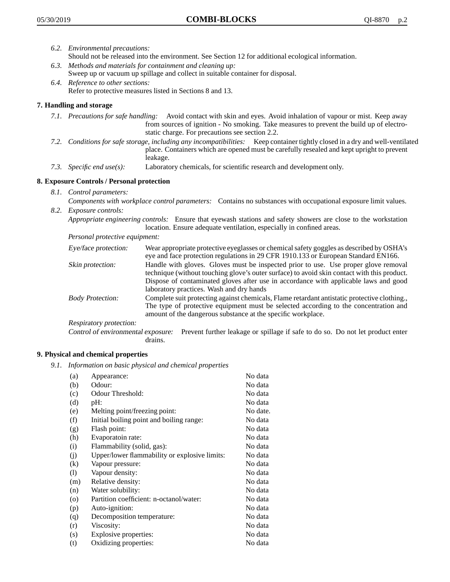- *6.2. Environmental precautions:* Should not be released into the environment. See Section 12 for additional ecological information.
- *6.3. Methods and materials for containment and cleaning up:* Sweep up or vacuum up spillage and collect in suitable container for disposal.
- *6.4. Reference to other sections:* Refer to protective measures listed in Sections 8 and 13.

## **7. Handling and storage**

- *7.1. Precautions for safe handling:* Avoid contact with skin and eyes. Avoid inhalation of vapour or mist. Keep away from sources of ignition - No smoking. Take measures to prevent the build up of electrostatic charge. For precautions see section 2.2.
- *7.2. Conditions for safe storage, including any incompatibilities:* Keep container tightly closed in a dry and well-ventilated place. Containers which are opened must be carefully resealed and kept upright to prevent leakage.
- *7.3. Specific end use(s):* Laboratory chemicals, for scientific research and development only.

# **8. Exposure Controls / Personal protection**

- *8.1. Control parameters:*
- *Components with workplace control parameters:* Contains no substances with occupational exposure limit values. *8.2. Exposure controls:*

*Appropriate engineering controls:* Ensure that eyewash stations and safety showers are close to the workstation location. Ensure adequate ventilation, especially in confined areas.

*Personal protective equipment:*

| Eye/face protection:    | Wear appropriate protective eyeglasses or chemical safety goggles as described by OSHA's<br>eye and face protection regulations in 29 CFR 1910.133 or European Standard EN166.                                                                                                                                         |
|-------------------------|------------------------------------------------------------------------------------------------------------------------------------------------------------------------------------------------------------------------------------------------------------------------------------------------------------------------|
| Skin protection:        | Handle with gloves. Gloves must be inspected prior to use. Use proper glove removal<br>technique (without touching glove's outer surface) to avoid skin contact with this product.<br>Dispose of contaminated gloves after use in accordance with applicable laws and good<br>laboratory practices. Wash and dry hands |
| <b>Body Protection:</b> | Complete suit protecting against chemicals, Flame retardant antistatic protective clothing.,<br>The type of protective equipment must be selected according to the concentration and<br>amount of the dangerous substance at the specific workplace.                                                                   |
| Respiratory protection: |                                                                                                                                                                                                                                                                                                                        |

Control of environmental exposure: Prevent further leakage or spillage if safe to do so. Do not let product enter drains.

## **9. Physical and chemical properties**

*9.1. Information on basic physical and chemical properties*

| (a)                        | Appearance:                                   | No data  |
|----------------------------|-----------------------------------------------|----------|
| (b)                        | Odour:                                        | No data  |
| (c)                        | Odour Threshold:                              | No data  |
| (d)                        | pH:                                           | No data  |
| (e)                        | Melting point/freezing point:                 | No date. |
| (f)                        | Initial boiling point and boiling range:      | No data  |
| (g)                        | Flash point:                                  | No data  |
| (h)                        | Evaporatoin rate:                             | No data  |
| (i)                        | Flammability (solid, gas):                    | No data  |
| (j)                        | Upper/lower flammability or explosive limits: | No data  |
| (k)                        | Vapour pressure:                              | No data  |
| $\left( \mathrm{l}\right)$ | Vapour density:                               | No data  |
| (m)                        | Relative density:                             | No data  |
| (n)                        | Water solubility:                             | No data  |
| $\circ$                    | Partition coefficient: n-octanol/water:       | No data  |
| (p)                        | Auto-ignition:                                | No data  |
| (q)                        | Decomposition temperature:                    | No data  |
| (r)                        | Viscosity:                                    | No data  |
| (s)                        | Explosive properties:                         | No data  |
| (t)                        | Oxidizing properties:                         | No data  |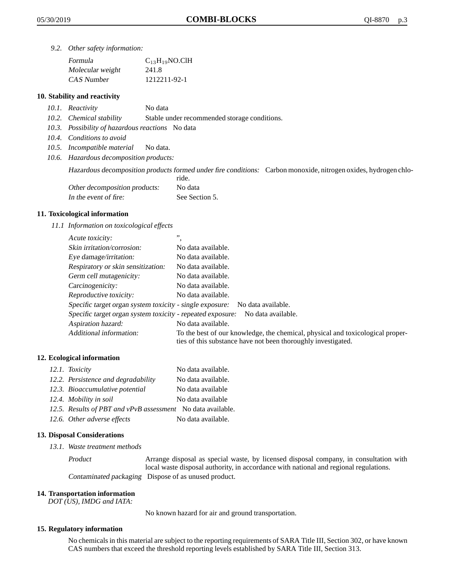*9.2. Other safety information:*

| Formula          | $C_{13}H_{19}NO$ .ClH |
|------------------|-----------------------|
| Molecular weight | 241.8                 |
| CAS Number       | 1212211-92-1          |

## **10. Stability and reactivity**

- *10.1. Reactivity* No data
- *10.2. Chemical stability* Stable under recommended storage conditions.
- *10.3. Possibility of hazardous reactions* No data
- *10.4. Conditions to avoid*
- *10.5. Incompatible material* No data.
- *10.6. Hazardous decomposition products:*

Hazardous decomposition products formed under fire conditions: Carbon monoxide, nitrogen oxides, hydrogen chlo-

|                               | ride.          |
|-------------------------------|----------------|
| Other decomposition products: | No data        |
| In the event of fire:         | See Section 5. |

#### **11. Toxicological information**

*11.1 Information on toxicological effects*

| Acute toxicity:                                            | ,,                                                                                                                                              |
|------------------------------------------------------------|-------------------------------------------------------------------------------------------------------------------------------------------------|
| Skin irritation/corrosion:                                 | No data available.                                                                                                                              |
| Eye damage/irritation:                                     | No data available.                                                                                                                              |
| Respiratory or skin sensitization:                         | No data available.                                                                                                                              |
| Germ cell mutagenicity:                                    | No data available.                                                                                                                              |
| Carcinogenicity:                                           | No data available.                                                                                                                              |
| Reproductive toxicity:                                     | No data available.                                                                                                                              |
| Specific target organ system toxicity - single exposure:   | No data available.                                                                                                                              |
| Specific target organ system toxicity - repeated exposure: | No data available.                                                                                                                              |
| Aspiration hazard:                                         | No data available.                                                                                                                              |
| Additional information:                                    | To the best of our knowledge, the chemical, physical and toxicological proper-<br>ties of this substance have not been thoroughly investigated. |

## **12. Ecological information**

| 12.1. Toxicity                                              | No data available. |
|-------------------------------------------------------------|--------------------|
| 12.2. Persistence and degradability                         | No data available. |
| 12.3. Bioaccumulative potential                             | No data available  |
| 12.4. Mobility in soil                                      | No data available  |
| 12.5. Results of PBT and vPvB assessment No data available. |                    |
| 12.6. Other adverse effects                                 | No data available. |

## **13. Disposal Considerations**

*13.1. Waste treatment methods*

Product Arrange disposal as special waste, by licensed disposal company, in consultation with local waste disposal authority, in accordance with national and regional regulations. Contaminated packaging Dispose of as unused product.

#### **14. Transportation information**

*DOT (US), IMDG and IATA:*

No known hazard for air and ground transportation.

## **15. Regulatory information**

No chemicals in this material are subject to the reporting requirements of SARA Title III, Section 302, or have known CAS numbers that exceed the threshold reporting levels established by SARA Title III, Section 313.